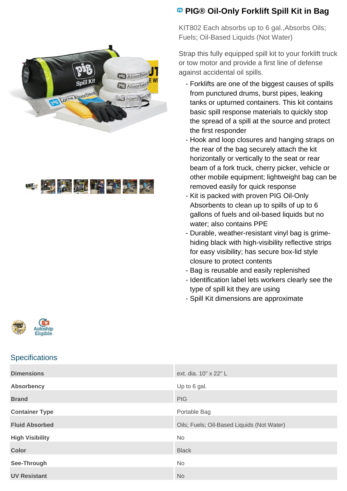



## **PIG® Oil-Only Forklift Spill Kit in Bag**

KIT802 Each absorbs up to 6 gal.,Absorbs Oils; Fuels; Oil-Based Liquids (Not Water)

Strap this fully equipped spill kit to your forklift truck or tow motor and provide a first line of defense against accidental oil spills.

- Forklifts are one of the biggest causes of spills from punctured drums, burst pipes, leaking tanks or upturned containers. This kit contains basic spill response materials to quickly stop the spread of a spill at the source and protect the first responder
- Hook and loop closures and hanging straps on the rear of the bag securely attach the kit horizontally or vertically to the seat or rear beam of a fork truck, cherry picker, vehicle or other mobile equipment; lightweight bag can be removed easily for quick response
- Kit is packed with proven PIG Oil-Only Absorbents to clean up to spills of up to 6 gallons of fuels and oil-based liquids but no water; also contains PPE
- Durable, weather-resistant vinyl bag is grimehiding black with high-visibility reflective strips for easy visibility; has secure box-lid style closure to protect contents
- Bag is reusable and easily replenished
- Identification label lets workers clearly see the type of spill kit they are using
- Spill Kit dimensions are approximate



## **Specifications**

| <b>Dimensions</b>      | ext. dia. 10" x 22" L                      |
|------------------------|--------------------------------------------|
| <b>Absorbency</b>      | Up to 6 gal.                               |
| <b>Brand</b>           | <b>PIG</b>                                 |
| <b>Container Type</b>  | Portable Bag                               |
| <b>Fluid Absorbed</b>  | Oils; Fuels; Oil-Based Liquids (Not Water) |
| <b>High Visibility</b> | <b>No</b>                                  |
| <b>Color</b>           | <b>Black</b>                               |
| See-Through            | No                                         |
|                        |                                            |
| <b>UV Resistant</b>    | <b>No</b>                                  |